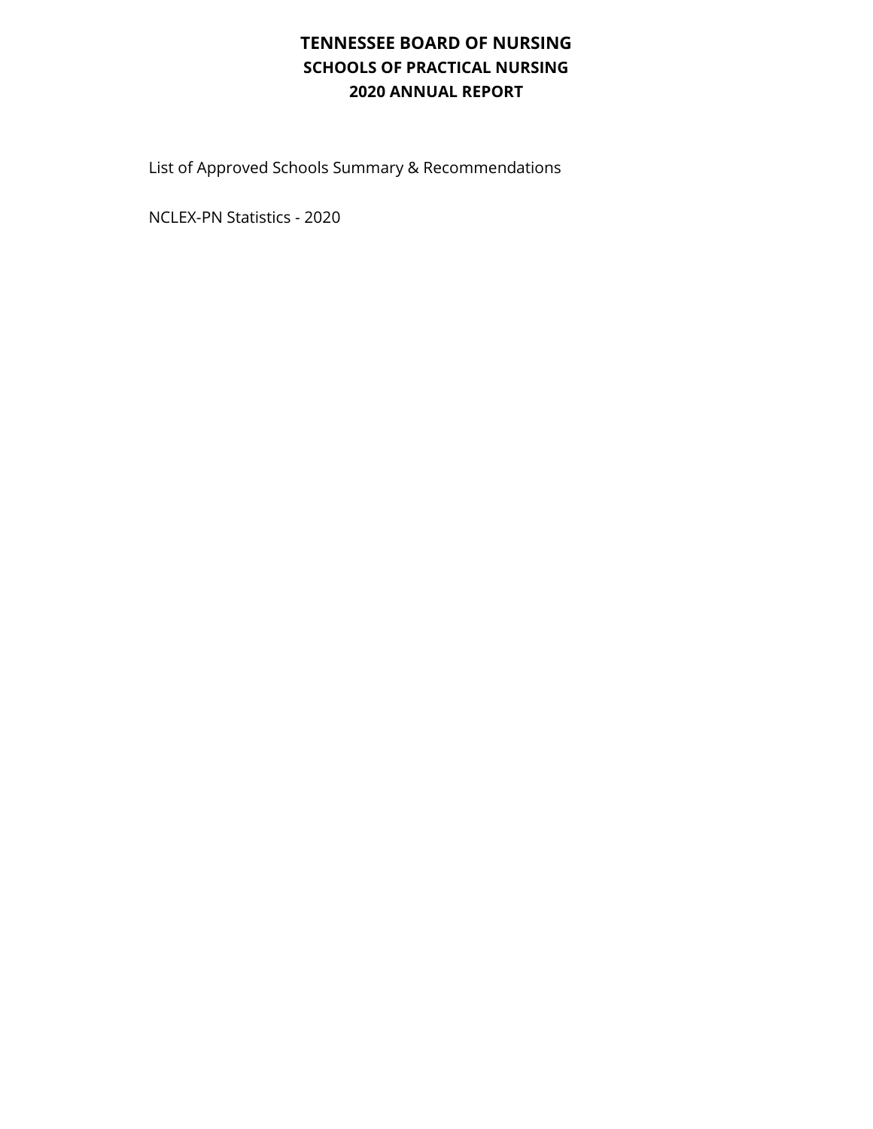## **TENNESSEE BOARD OF NURSING SCHOOLS OF PRACTICAL NURSING 2020 ANNUAL REPORT**

List of Approved Schools Summary & Recommendations

NCLEX-PN Statistics - 2020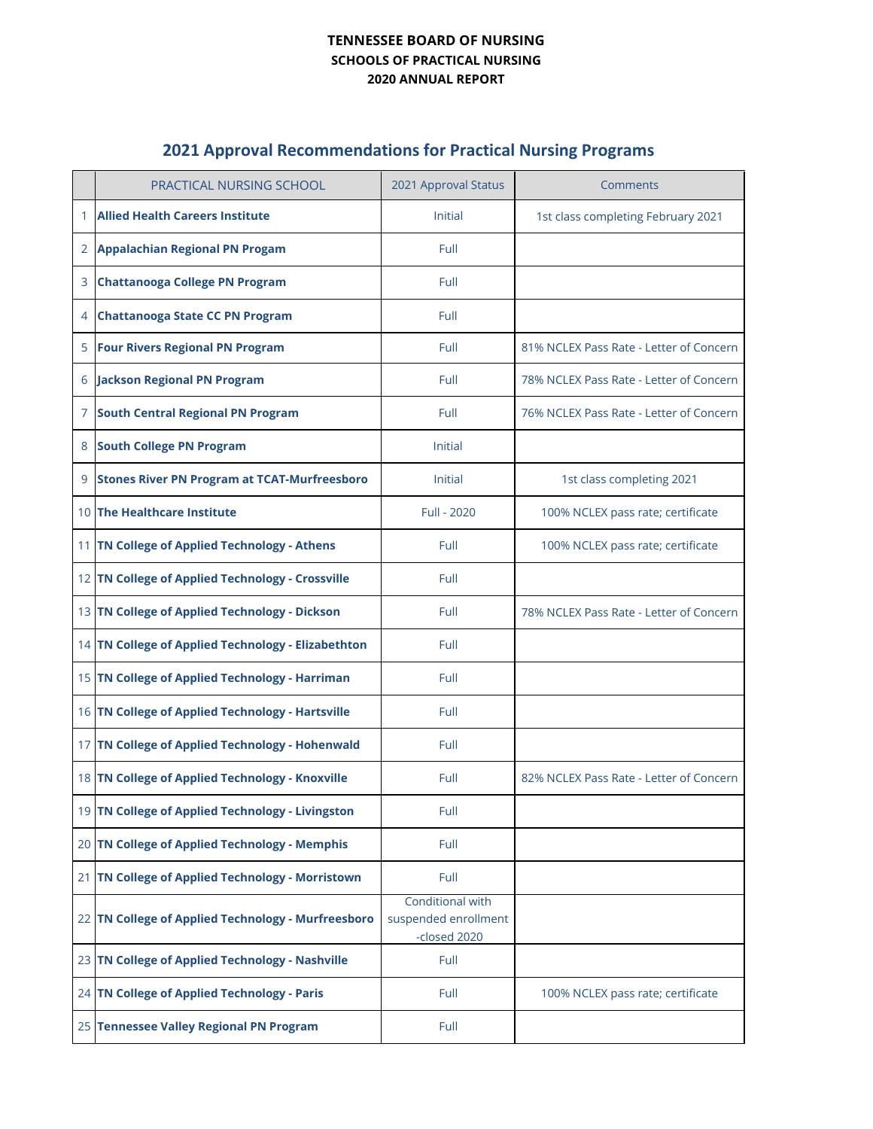## **TENNESSEE BOARD OF NURSING SCHOOLS OF PRACTICAL NURSING 2020 ANNUAL REPORT**

## **2021 Approval Recommendations for Practical Nursing Programs**

|    | <b>PRACTICAL NURSING SCHOOL</b>                     | 2021 Approval Status                                     | Comments                                |
|----|-----------------------------------------------------|----------------------------------------------------------|-----------------------------------------|
|    | <b>Allied Health Careers Institute</b>              | Initial                                                  | 1st class completing February 2021      |
| 2  | <b>Appalachian Regional PN Progam</b>               | Full                                                     |                                         |
| 3  | <b>Chattanooga College PN Program</b>               | Full                                                     |                                         |
| 4  | <b>Chattanooga State CC PN Program</b>              | Full                                                     |                                         |
| 5  | <b>Four Rivers Regional PN Program</b>              | Full                                                     | 81% NCLEX Pass Rate - Letter of Concern |
| 6  | <b>Jackson Regional PN Program</b>                  | Full                                                     | 78% NCLEX Pass Rate - Letter of Concern |
| 7  | <b>South Central Regional PN Program</b>            | Full                                                     | 76% NCLEX Pass Rate - Letter of Concern |
| 8  | <b>South College PN Program</b>                     | Initial                                                  |                                         |
| 9  | <b>Stones River PN Program at TCAT-Murfreesboro</b> | Initial                                                  | 1st class completing 2021               |
|    | 10 The Healthcare Institute                         | Full - 2020                                              | 100% NCLEX pass rate; certificate       |
|    | 11 TN College of Applied Technology - Athens        | Full                                                     | 100% NCLEX pass rate; certificate       |
|    | 12 TN College of Applied Technology - Crossville    | Full                                                     |                                         |
|    | 13 TN College of Applied Technology - Dickson       | Full                                                     | 78% NCLEX Pass Rate - Letter of Concern |
|    | 14 TN College of Applied Technology - Elizabethton  | Full                                                     |                                         |
|    | 15 TN College of Applied Technology - Harriman      | Full                                                     |                                         |
|    | 16 TN College of Applied Technology - Hartsville    | Full                                                     |                                         |
|    | 17 TN College of Applied Technology - Hohenwald     | Full                                                     |                                         |
|    | 18 TN College of Applied Technology - Knoxville     | Full                                                     | 82% NCLEX Pass Rate - Letter of Concern |
|    | 19 TN College of Applied Technology - Livingston    | Full                                                     |                                         |
|    | 20 TN College of Applied Technology - Memphis       | Full                                                     |                                         |
| 21 | TN College of Applied Technology - Morristown       | Full                                                     |                                         |
| 22 | TN College of Applied Technology - Murfreesboro     | Conditional with<br>suspended enrollment<br>-closed 2020 |                                         |
|    | 23 TN College of Applied Technology - Nashville     | Full                                                     |                                         |
|    | 24 TN College of Applied Technology - Paris         | Full                                                     | 100% NCLEX pass rate; certificate       |
|    | 25 Tennessee Valley Regional PN Program             | Full                                                     |                                         |